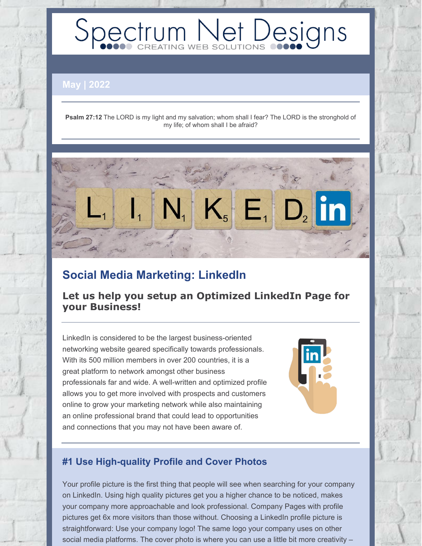# Spectrum Net Designs

**May | 2022**

**Psalm 27:12** The LORD is my light and my salvation; whom shall I fear? The LORD is the stronghold of my life; of whom shall I be afraid?



## **Social Media Marketing: LinkedIn**

**Let us help you setup an Optimized LinkedIn Page for your Business!**

LinkedIn is considered to be the largest business-oriented networking website geared specifically towards professionals. With its 500 million members in over 200 countries, it is a great platform to network amongst other business professionals far and wide. A well-written and optimized profile allows you to get more involved with prospects and customers online to grow your marketing network while also maintaining an online professional brand that could lead to opportunities and connections that you may not have been aware of.



## **#1 Use High-quality Profile and Cover Photos**

Your profile picture is the first thing that people will see when searching for your company on LinkedIn. Using high quality pictures get you a higher chance to be noticed, makes your company more approachable and look professional. Company Pages with profile pictures get 6x more visitors than those without. Choosing a LinkedIn profile picture is straightforward: Use your company logo! The same logo your company uses on other social media platforms. The cover photo is where you can use a little bit more creativity –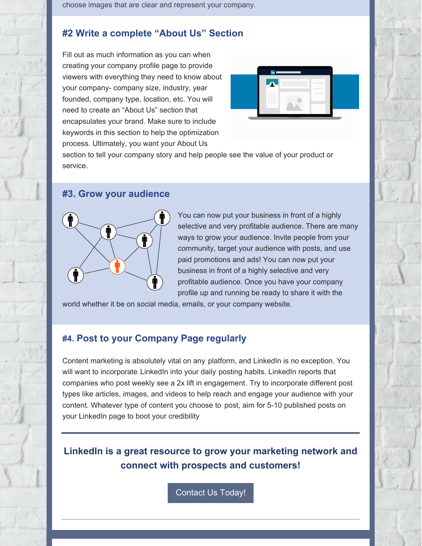choose images that are clear and represent your company.

## **#2 Write a complete "About Us" Section**

Fill out as much information as you can when creating your company profile page to provide viewers with everything they need to know about your company- company size, industry, year founded, company type, location, etc. You will need to create an "About Us" section that encapsulates your brand. Make sure to include keywords in this section to help the optimization process. Ultimately, you want your About Us



section to tell your company story and help people see the value of your product or service.

#### **#3. Grow your audience**



You can now put your business in front of a highly selective and very profitable audience. There are many ways to grow your audience. Invite people from your community, target your audience with posts, and use paid promotions and ads! You can now put your business in front of a highly selective and very profitable audience. Once you have your company profile up and running be ready to share it with the

world whether it be on social media, emails, or your company website.

### **#4. Post to your Company Page regularly**

Content marketing is absolutely vital on any platform, and LinkedIn is no exception. You will want to incorporate LinkedIn into your daily posting habits. LinkedIn reports that companies who post weekly see a 2x lift in [engagement](https://business.linkedin.com/marketing-solutions/linkedin-pages/best-practices#2). Try to incorporate different post types like articles, images, and videos to help reach and engage your audience with your content. Whatever type of content you choose to post, aim for 5-10 published posts on your LinkedIn page to boot your credibility

**LinkedIn is a great resource to grow your marketing network and connect with prospects and customers!**

[Contact](https://www.spectrumnetdesigns.com/contact-us/) Us Today!